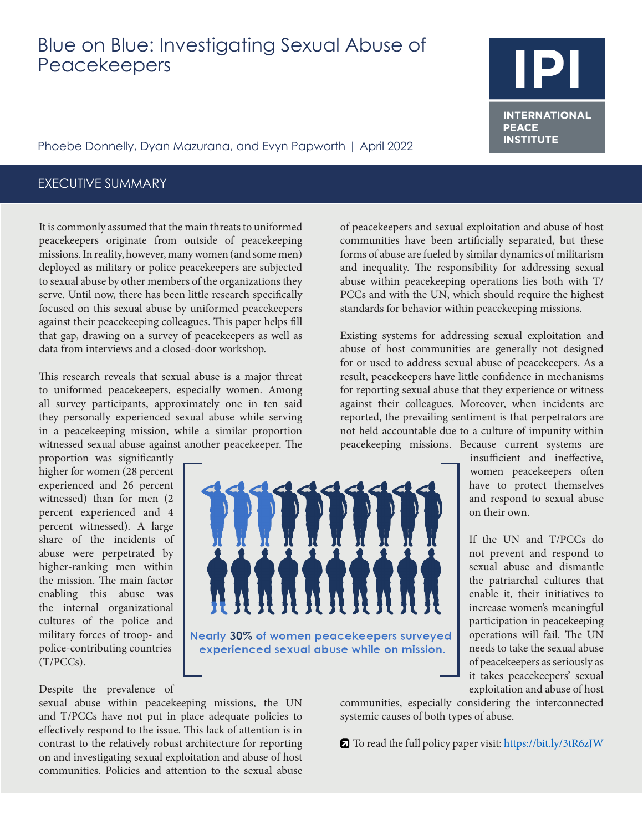# Blue on Blue: Investigating Sexual Abuse of Peacekeepers

Phoebe Donnelly, Dyan Mazurana, and Evyn Papworth | April 2022

## EXECUTIVE SUMMARY

It is commonly assumed that the main threats to uniformed peacekeepers originate from outside of peacekeeping missions. In reality, however, many women (and some men) deployed as military or police peacekeepers are subjected to sexual abuse by other members of the organizations they serve. Until now, there has been little research specifically focused on this sexual abuse by uniformed peacekeepers against their peacekeeping colleagues. This paper helps fill that gap, drawing on a survey of peacekeepers as well as data from interviews and a closed-door workshop.

This research reveals that sexual abuse is a major threat to uniformed peacekeepers, especially women. Among all survey participants, approximately one in ten said they personally experienced sexual abuse while serving in a peacekeeping mission, while a similar proportion witnessed sexual abuse against another peacekeeper. The

proportion was significantly higher for women (28 percent experienced and 26 percent witnessed) than for men (2 percent experienced and 4 percent witnessed). A large share of the incidents of abuse were perpetrated by higher-ranking men within the mission. The main factor enabling this abuse was the internal organizational cultures of the police and military forces of troop- and police-contributing countries (T/PCCs).



of peacekeepers and sexual exploitation and abuse of host communities have been artificially separated, but these forms of abuse are fueled by similar dynamics of militarism and inequality. The responsibility for addressing sexual abuse within peacekeeping operations lies both with T/ PCCs and with the UN, which should require the highest standards for behavior within peacekeeping missions.

Existing systems for addressing sexual exploitation and abuse of host communities are generally not designed for or used to address sexual abuse of peacekeepers. As a result, peacekeepers have little confidence in mechanisms for reporting sexual abuse that they experience or witness against their colleagues. Moreover, when incidents are reported, the prevailing sentiment is that perpetrators are not held accountable due to a culture of impunity within peacekeeping missions. Because current systems are

insufficient and ineffective, women peacekeepers often have to protect themselves and respond to sexual abuse on their own.

If the UN and T/PCCs do not prevent and respond to sexual abuse and dismantle the patriarchal cultures that enable it, their initiatives to increase women's meaningful participation in peacekeeping operations will fail. The UN needs to take the sexual abuse of peacekeepers as seriously as it takes peacekeepers' sexual exploitation and abuse of host

Despite the prevalence of

sexual abuse within peacekeeping missions, the UN and T/PCCs have not put in place adequate policies to effectively respond to the issue. This lack of attention is in contrast to the relatively robust architecture for reporting on and investigating sexual exploitation and abuse of host communities. Policies and attention to the sexual abuse communities, especially considering the interconnected systemic causes of both types of abuse.

To read the full policy paper visit: [https://bit.ly/3tR6zJW](https://bit.ly/3tR6zJW )